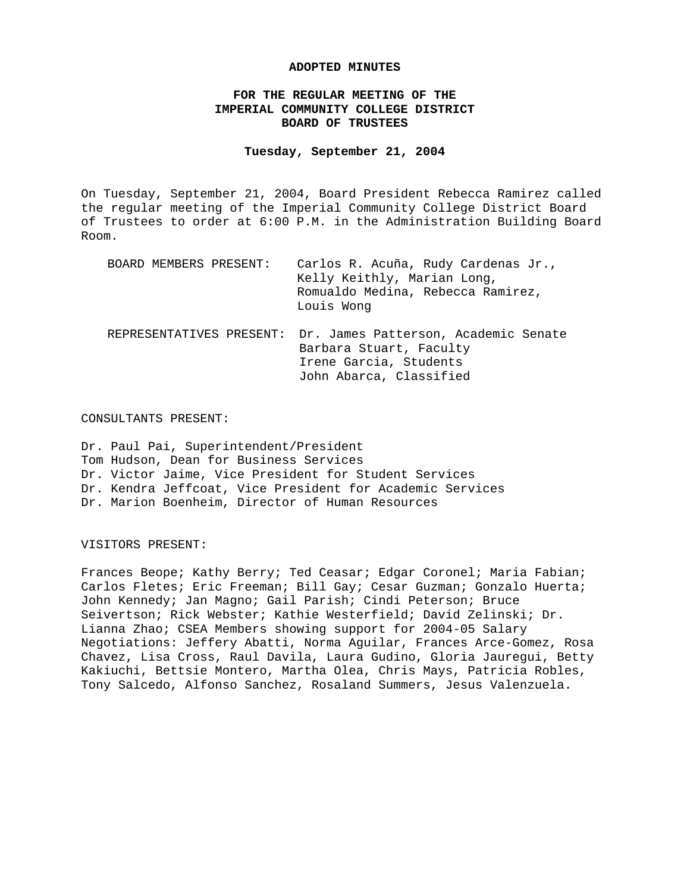#### **ADOPTED MINUTES**

# **FOR THE REGULAR MEETING OF THE IMPERIAL COMMUNITY COLLEGE DISTRICT BOARD OF TRUSTEES**

#### **Tuesday, September 21, 2004**

On Tuesday, September 21, 2004, Board President Rebecca Ramirez called the regular meeting of the Imperial Community College District Board of Trustees to order at 6:00 P.M. in the Administration Building Board Room.

| BOARD MEMBERS PRESENT:   | Carlos R. Acuña, Rudy Cardenas Jr.,<br>Kelly Keithly, Marian Long,<br>Romualdo Medina, Rebecca Ramirez,<br>Louis Wong |
|--------------------------|-----------------------------------------------------------------------------------------------------------------------|
| REPRESENTATIVES PRESENT: | Dr. James Patterson, Academic Senate<br>Barbara Stuart, Faculty<br>Irene Garcia, Students<br>John Abarca, Classified  |

#### CONSULTANTS PRESENT:

Dr. Paul Pai, Superintendent/President Tom Hudson, Dean for Business Services Dr. Victor Jaime, Vice President for Student Services Dr. Kendra Jeffcoat, Vice President for Academic Services Dr. Marion Boenheim, Director of Human Resources

#### VISITORS PRESENT:

Frances Beope; Kathy Berry; Ted Ceasar; Edgar Coronel; Maria Fabian; Carlos Fletes; Eric Freeman; Bill Gay; Cesar Guzman; Gonzalo Huerta; John Kennedy; Jan Magno; Gail Parish; Cindi Peterson; Bruce Seivertson; Rick Webster; Kathie Westerfield; David Zelinski; Dr. Lianna Zhao; CSEA Members showing support for 2004-05 Salary Negotiations: Jeffery Abatti, Norma Aguilar, Frances Arce-Gomez, Rosa Chavez, Lisa Cross, Raul Davila, Laura Gudino, Gloria Jauregui, Betty Kakiuchi, Bettsie Montero, Martha Olea, Chris Mays, Patricia Robles, Tony Salcedo, Alfonso Sanchez, Rosaland Summers, Jesus Valenzuela.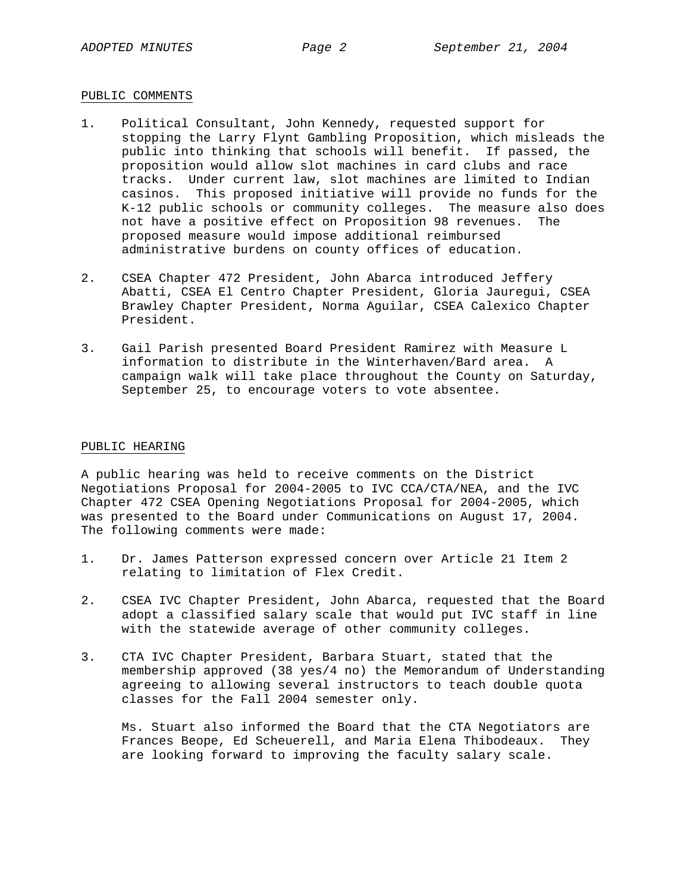## PUBLIC COMMENTS

- 1. Political Consultant, John Kennedy, requested support for stopping the Larry Flynt Gambling Proposition, which misleads the public into thinking that schools will benefit. If passed, the proposition would allow slot machines in card clubs and race tracks. Under current law, slot machines are limited to Indian casinos. This proposed initiative will provide no funds for the K-12 public schools or community colleges. The measure also does not have a positive effect on Proposition 98 revenues. The proposed measure would impose additional reimbursed administrative burdens on county offices of education.
- 2. CSEA Chapter 472 President, John Abarca introduced Jeffery Abatti, CSEA El Centro Chapter President, Gloria Jauregui, CSEA Brawley Chapter President, Norma Aguilar, CSEA Calexico Chapter President.
- 3. Gail Parish presented Board President Ramirez with Measure L information to distribute in the Winterhaven/Bard area. A campaign walk will take place throughout the County on Saturday, September 25, to encourage voters to vote absentee.

## PUBLIC HEARING

A public hearing was held to receive comments on the District Negotiations Proposal for 2004-2005 to IVC CCA/CTA/NEA, and the IVC Chapter 472 CSEA Opening Negotiations Proposal for 2004-2005, which was presented to the Board under Communications on August 17, 2004. The following comments were made:

- 1. Dr. James Patterson expressed concern over Article 21 Item 2 relating to limitation of Flex Credit.
- 2. CSEA IVC Chapter President, John Abarca, requested that the Board adopt a classified salary scale that would put IVC staff in line with the statewide average of other community colleges.
- 3. CTA IVC Chapter President, Barbara Stuart, stated that the membership approved (38 yes/4 no) the Memorandum of Understanding agreeing to allowing several instructors to teach double quota classes for the Fall 2004 semester only.

 Ms. Stuart also informed the Board that the CTA Negotiators are Frances Beope, Ed Scheuerell, and Maria Elena Thibodeaux. They are looking forward to improving the faculty salary scale.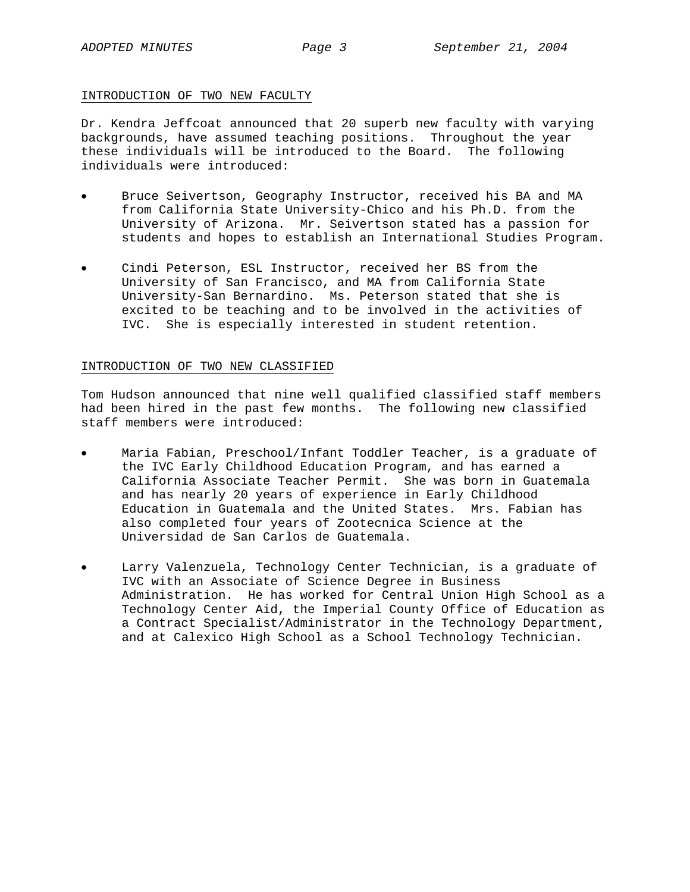## INTRODUCTION OF TWO NEW FACULTY

Dr. Kendra Jeffcoat announced that 20 superb new faculty with varying backgrounds, have assumed teaching positions. Throughout the year these individuals will be introduced to the Board. The following individuals were introduced:

- Bruce Seivertson, Geography Instructor, received his BA and MA from California State University-Chico and his Ph.D. from the University of Arizona. Mr. Seivertson stated has a passion for students and hopes to establish an International Studies Program.
- Cindi Peterson, ESL Instructor, received her BS from the University of San Francisco, and MA from California State University-San Bernardino. Ms. Peterson stated that she is excited to be teaching and to be involved in the activities of IVC. She is especially interested in student retention.

## INTRODUCTION OF TWO NEW CLASSIFIED

Tom Hudson announced that nine well qualified classified staff members had been hired in the past few months. The following new classified staff members were introduced:

- Maria Fabian, Preschool/Infant Toddler Teacher, is a graduate of the IVC Early Childhood Education Program, and has earned a California Associate Teacher Permit. She was born in Guatemala and has nearly 20 years of experience in Early Childhood Education in Guatemala and the United States. Mrs. Fabian has also completed four years of Zootecnica Science at the Universidad de San Carlos de Guatemala.
- Larry Valenzuela, Technology Center Technician, is a graduate of IVC with an Associate of Science Degree in Business Administration. He has worked for Central Union High School as a Technology Center Aid, the Imperial County Office of Education as a Contract Specialist/Administrator in the Technology Department, and at Calexico High School as a School Technology Technician.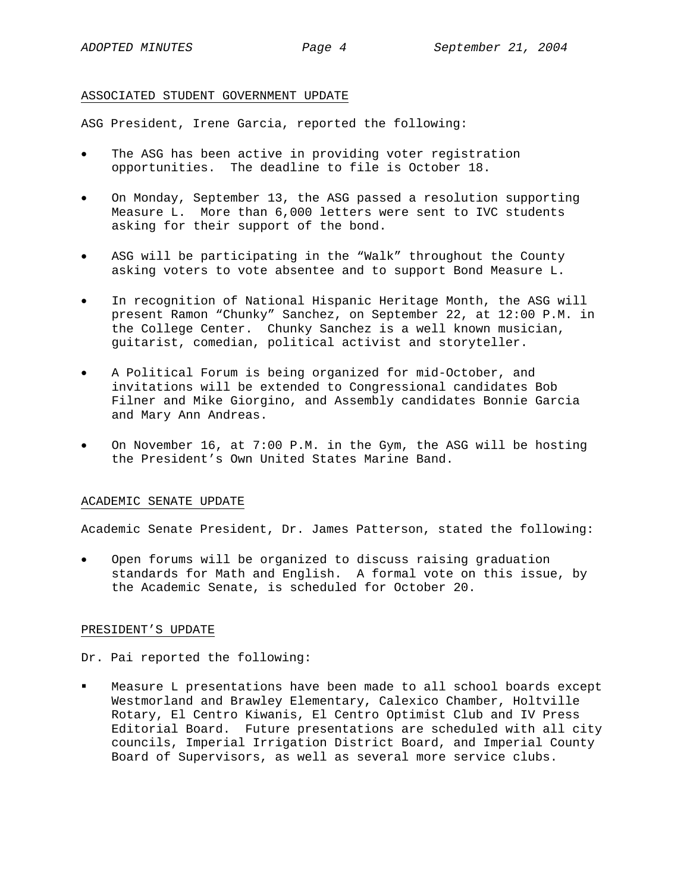#### ASSOCIATED STUDENT GOVERNMENT UPDATE

ASG President, Irene Garcia, reported the following:

- The ASG has been active in providing voter registration opportunities. The deadline to file is October 18.
- On Monday, September 13, the ASG passed a resolution supporting Measure L. More than 6,000 letters were sent to IVC students asking for their support of the bond.
- ASG will be participating in the "Walk" throughout the County asking voters to vote absentee and to support Bond Measure L.
- In recognition of National Hispanic Heritage Month, the ASG will present Ramon "Chunky" Sanchez, on September 22, at 12:00 P.M. in the College Center. Chunky Sanchez is a well known musician, guitarist, comedian, political activist and storyteller.
- A Political Forum is being organized for mid-October, and invitations will be extended to Congressional candidates Bob Filner and Mike Giorgino, and Assembly candidates Bonnie Garcia and Mary Ann Andreas.
- On November 16, at 7:00 P.M. in the Gym, the ASG will be hosting the President's Own United States Marine Band.

## ACADEMIC SENATE UPDATE

Academic Senate President, Dr. James Patterson, stated the following:

• Open forums will be organized to discuss raising graduation standards for Math and English. A formal vote on this issue, by the Academic Senate, is scheduled for October 20.

#### PRESIDENT'S UPDATE

Dr. Pai reported the following:

 Measure L presentations have been made to all school boards except Westmorland and Brawley Elementary, Calexico Chamber, Holtville Rotary, El Centro Kiwanis, El Centro Optimist Club and IV Press Editorial Board. Future presentations are scheduled with all city councils, Imperial Irrigation District Board, and Imperial County Board of Supervisors, as well as several more service clubs.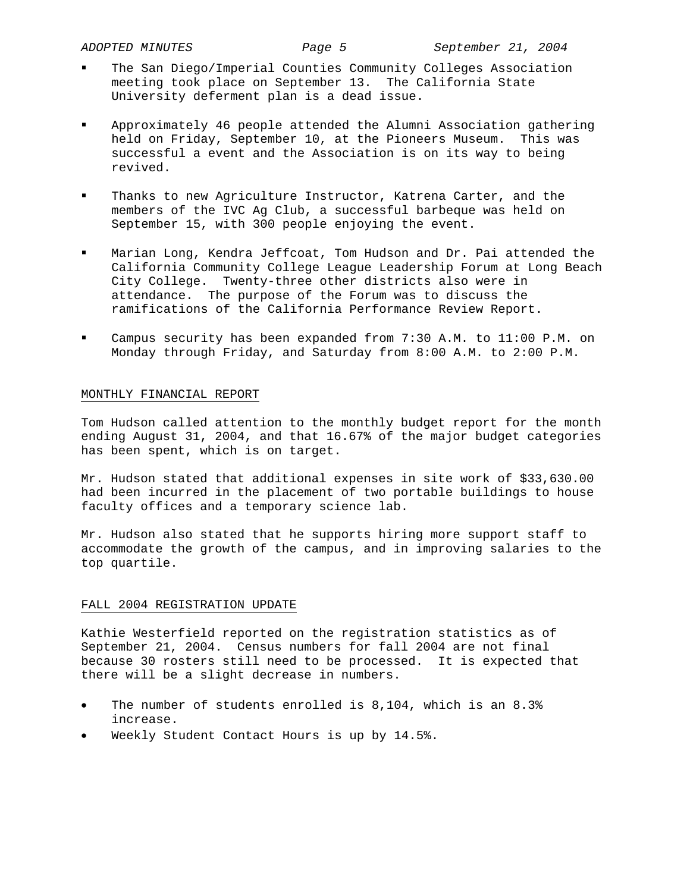- The San Diego/Imperial Counties Community Colleges Association meeting took place on September 13. The California State University deferment plan is a dead issue.
- Approximately 46 people attended the Alumni Association gathering held on Friday, September 10, at the Pioneers Museum. This was successful a event and the Association is on its way to being revived.
- Thanks to new Agriculture Instructor, Katrena Carter, and the members of the IVC Ag Club, a successful barbeque was held on September 15, with 300 people enjoying the event.
- Marian Long, Kendra Jeffcoat, Tom Hudson and Dr. Pai attended the California Community College League Leadership Forum at Long Beach City College. Twenty-three other districts also were in attendance. The purpose of the Forum was to discuss the ramifications of the California Performance Review Report.
- Campus security has been expanded from 7:30 A.M. to 11:00 P.M. on Monday through Friday, and Saturday from 8:00 A.M. to 2:00 P.M.

### MONTHLY FINANCIAL REPORT

Tom Hudson called attention to the monthly budget report for the month ending August 31, 2004, and that 16.67% of the major budget categories has been spent, which is on target.

Mr. Hudson stated that additional expenses in site work of \$33,630.00 had been incurred in the placement of two portable buildings to house faculty offices and a temporary science lab.

Mr. Hudson also stated that he supports hiring more support staff to accommodate the growth of the campus, and in improving salaries to the top quartile.

### FALL 2004 REGISTRATION UPDATE

Kathie Westerfield reported on the registration statistics as of September 21, 2004. Census numbers for fall 2004 are not final because 30 rosters still need to be processed. It is expected that there will be a slight decrease in numbers.

- The number of students enrolled is 8,104, which is an 8.3% increase.
- Weekly Student Contact Hours is up by 14.5%.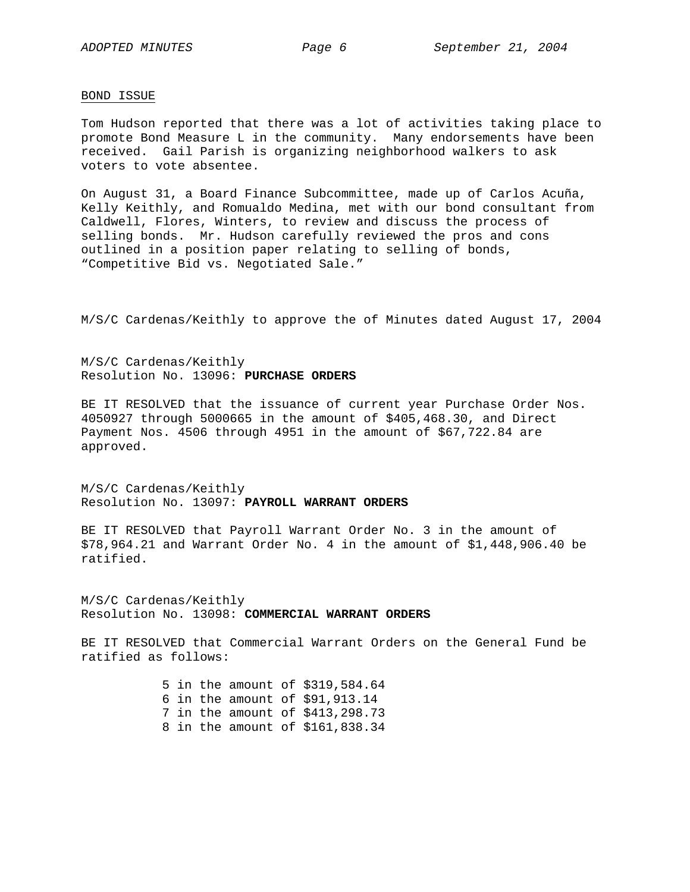#### BOND ISSUE

Tom Hudson reported that there was a lot of activities taking place to promote Bond Measure L in the community. Many endorsements have been received. Gail Parish is organizing neighborhood walkers to ask voters to vote absentee.

On August 31, a Board Finance Subcommittee, made up of Carlos Acuña, Kelly Keithly, and Romualdo Medina, met with our bond consultant from Caldwell, Flores, Winters, to review and discuss the process of selling bonds. Mr. Hudson carefully reviewed the pros and cons outlined in a position paper relating to selling of bonds, "Competitive Bid vs. Negotiated Sale."

M/S/C Cardenas/Keithly to approve the of Minutes dated August 17, 2004

M/S/C Cardenas/Keithly Resolution No. 13096: **PURCHASE ORDERS**

BE IT RESOLVED that the issuance of current year Purchase Order Nos. 4050927 through 5000665 in the amount of \$405,468.30, and Direct Payment Nos. 4506 through 4951 in the amount of \$67,722.84 are approved.

M/S/C Cardenas/Keithly Resolution No. 13097: **PAYROLL WARRANT ORDERS**

BE IT RESOLVED that Payroll Warrant Order No. 3 in the amount of \$78,964.21 and Warrant Order No. 4 in the amount of \$1,448,906.40 be ratified.

M/S/C Cardenas/Keithly Resolution No. 13098: **COMMERCIAL WARRANT ORDERS**

BE IT RESOLVED that Commercial Warrant Orders on the General Fund be ratified as follows:

> 5 in the amount of \$319,584.64 6 in the amount of \$91,913.14 7 in the amount of \$413,298.73 8 in the amount of \$161,838.34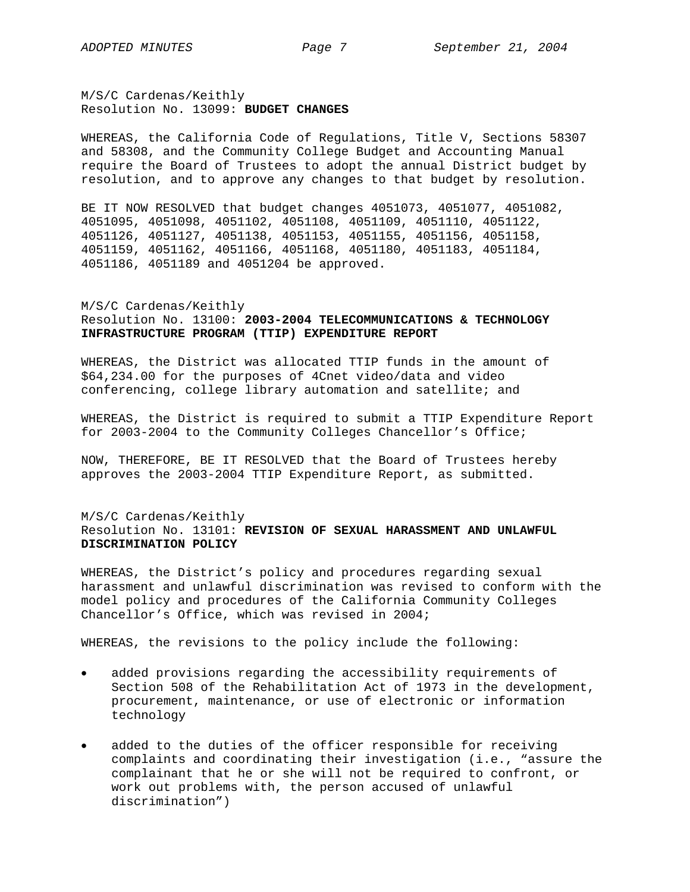M/S/C Cardenas/Keithly Resolution No. 13099: **BUDGET CHANGES** 

WHEREAS, the California Code of Regulations, Title V, Sections 58307 and 58308, and the Community College Budget and Accounting Manual require the Board of Trustees to adopt the annual District budget by resolution, and to approve any changes to that budget by resolution.

BE IT NOW RESOLVED that budget changes 4051073, 4051077, 4051082, 4051095, 4051098, 4051102, 4051108, 4051109, 4051110, 4051122, 4051126, 4051127, 4051138, 4051153, 4051155, 4051156, 4051158, 4051159, 4051162, 4051166, 4051168, 4051180, 4051183, 4051184, 4051186, 4051189 and 4051204 be approved.

# M/S/C Cardenas/Keithly Resolution No. 13100: **2003-2004 TELECOMMUNICATIONS & TECHNOLOGY INFRASTRUCTURE PROGRAM (TTIP) EXPENDITURE REPORT**

WHEREAS, the District was allocated TTIP funds in the amount of \$64,234.00 for the purposes of 4Cnet video/data and video conferencing, college library automation and satellite; and

WHEREAS, the District is required to submit a TTIP Expenditure Report for 2003-2004 to the Community Colleges Chancellor's Office;

NOW, THEREFORE, BE IT RESOLVED that the Board of Trustees hereby approves the 2003-2004 TTIP Expenditure Report, as submitted.

# M/S/C Cardenas/Keithly Resolution No. 13101: **REVISION OF SEXUAL HARASSMENT AND UNLAWFUL DISCRIMINATION POLICY**

WHEREAS, the District's policy and procedures regarding sexual harassment and unlawful discrimination was revised to conform with the model policy and procedures of the California Community Colleges Chancellor's Office, which was revised in 2004;

WHEREAS, the revisions to the policy include the following:

- added provisions regarding the accessibility requirements of Section 508 of the Rehabilitation Act of 1973 in the development, procurement, maintenance, or use of electronic or information technology
- added to the duties of the officer responsible for receiving complaints and coordinating their investigation (i.e., "assure the complainant that he or she will not be required to confront, or work out problems with, the person accused of unlawful discrimination")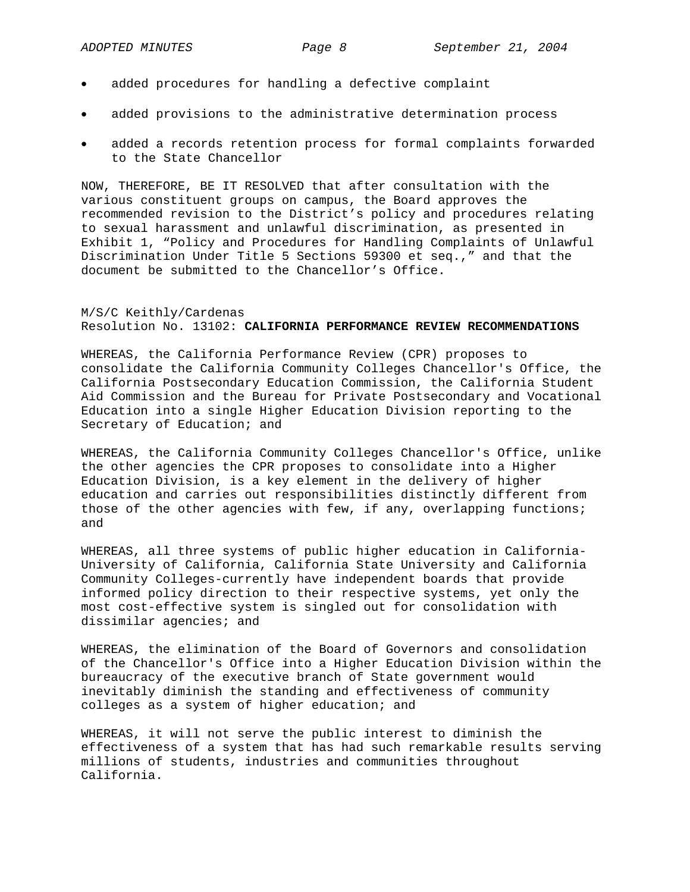- added procedures for handling a defective complaint
- added provisions to the administrative determination process
- added a records retention process for formal complaints forwarded to the State Chancellor

NOW, THEREFORE, BE IT RESOLVED that after consultation with the various constituent groups on campus, the Board approves the recommended revision to the District's policy and procedures relating to sexual harassment and unlawful discrimination, as presented in Exhibit 1, "Policy and Procedures for Handling Complaints of Unlawful Discrimination Under Title 5 Sections 59300 et seq.," and that the document be submitted to the Chancellor's Office.

#### M/S/C Keithly/Cardenas Resolution No. 13102: **CALIFORNIA PERFORMANCE REVIEW RECOMMENDATIONS**

WHEREAS, the California Performance Review (CPR) proposes to consolidate the California Community Colleges Chancellor's Office, the California Postsecondary Education Commission, the California Student Aid Commission and the Bureau for Private Postsecondary and Vocational Education into a single Higher Education Division reporting to the Secretary of Education; and

WHEREAS, the California Community Colleges Chancellor's Office, unlike the other agencies the CPR proposes to consolidate into a Higher Education Division, is a key element in the delivery of higher education and carries out responsibilities distinctly different from those of the other agencies with few, if any, overlapping functions; and

WHEREAS, all three systems of public higher education in California-University of California, California State University and California Community Colleges-currently have independent boards that provide informed policy direction to their respective systems, yet only the most cost-effective system is singled out for consolidation with dissimilar agencies; and

WHEREAS, the elimination of the Board of Governors and consolidation of the Chancellor's Office into a Higher Education Division within the bureaucracy of the executive branch of State government would inevitably diminish the standing and effectiveness of community colleges as a system of higher education; and

WHEREAS, it will not serve the public interest to diminish the effectiveness of a system that has had such remarkable results serving millions of students, industries and communities throughout California.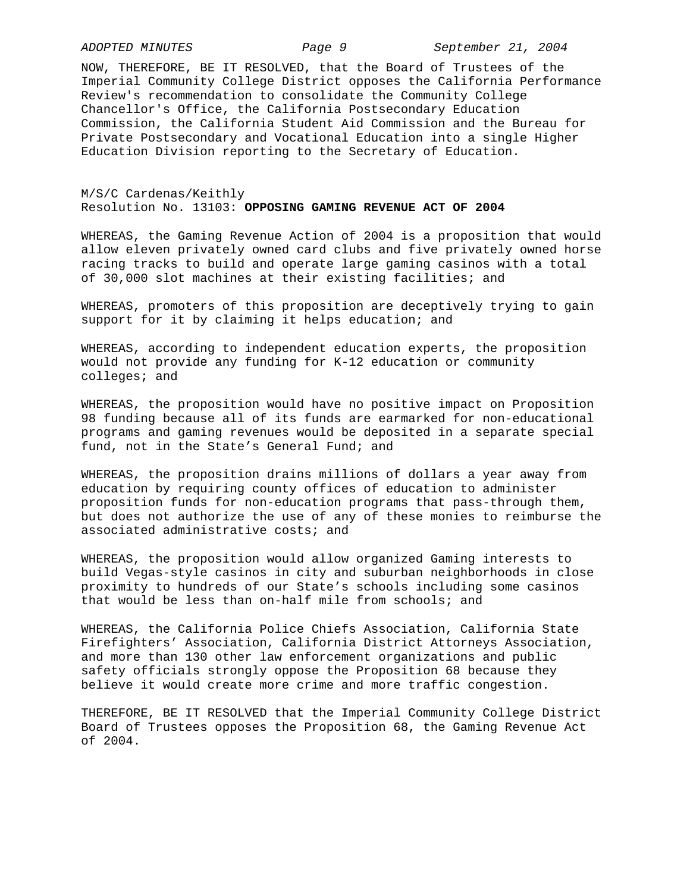NOW, THEREFORE, BE IT RESOLVED, that the Board of Trustees of the Imperial Community College District opposes the California Performance Review's recommendation to consolidate the Community College Chancellor's Office, the California Postsecondary Education Commission, the California Student Aid Commission and the Bureau for Private Postsecondary and Vocational Education into a single Higher Education Division reporting to the Secretary of Education.

## M/S/C Cardenas/Keithly Resolution No. 13103: **OPPOSING GAMING REVENUE ACT OF 2004**

WHEREAS, the Gaming Revenue Action of 2004 is a proposition that would allow eleven privately owned card clubs and five privately owned horse racing tracks to build and operate large gaming casinos with a total of 30,000 slot machines at their existing facilities; and

WHEREAS, promoters of this proposition are deceptively trying to gain support for it by claiming it helps education; and

WHEREAS, according to independent education experts, the proposition would not provide any funding for K-12 education or community colleges; and

WHEREAS, the proposition would have no positive impact on Proposition 98 funding because all of its funds are earmarked for non-educational programs and gaming revenues would be deposited in a separate special fund, not in the State's General Fund; and

WHEREAS, the proposition drains millions of dollars a year away from education by requiring county offices of education to administer proposition funds for non-education programs that pass-through them, but does not authorize the use of any of these monies to reimburse the associated administrative costs; and

WHEREAS, the proposition would allow organized Gaming interests to build Vegas-style casinos in city and suburban neighborhoods in close proximity to hundreds of our State's schools including some casinos that would be less than on-half mile from schools; and

WHEREAS, the California Police Chiefs Association, California State Firefighters' Association, California District Attorneys Association, and more than 130 other law enforcement organizations and public safety officials strongly oppose the Proposition 68 because they believe it would create more crime and more traffic congestion.

THEREFORE, BE IT RESOLVED that the Imperial Community College District Board of Trustees opposes the Proposition 68, the Gaming Revenue Act of 2004.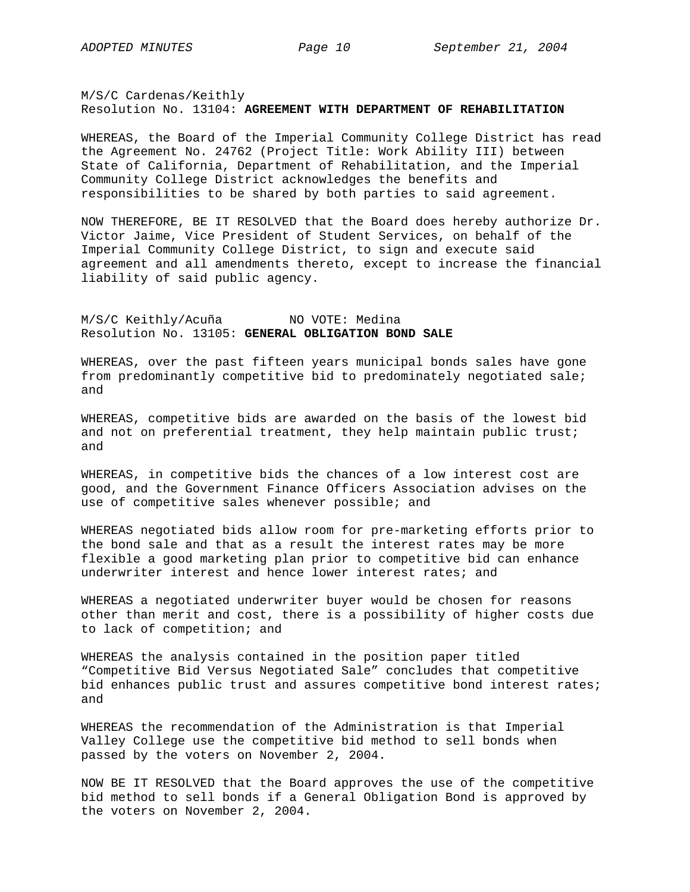M/S/C Cardenas/Keithly Resolution No. 13104: **AGREEMENT WITH DEPARTMENT OF REHABILITATION** 

WHEREAS, the Board of the Imperial Community College District has read the Agreement No. 24762 (Project Title: Work Ability III) between State of California, Department of Rehabilitation, and the Imperial Community College District acknowledges the benefits and responsibilities to be shared by both parties to said agreement.

NOW THEREFORE, BE IT RESOLVED that the Board does hereby authorize Dr. Victor Jaime, Vice President of Student Services, on behalf of the Imperial Community College District, to sign and execute said agreement and all amendments thereto, except to increase the financial liability of said public agency.

M/S/C Keithly/Acuña NO VOTE: Medina Resolution No. 13105: **GENERAL OBLIGATION BOND SALE** 

WHEREAS, over the past fifteen years municipal bonds sales have gone from predominantly competitive bid to predominately negotiated sale; and

WHEREAS, competitive bids are awarded on the basis of the lowest bid and not on preferential treatment, they help maintain public trust; and

WHEREAS, in competitive bids the chances of a low interest cost are good, and the Government Finance Officers Association advises on the use of competitive sales whenever possible; and

WHEREAS negotiated bids allow room for pre-marketing efforts prior to the bond sale and that as a result the interest rates may be more flexible a good marketing plan prior to competitive bid can enhance underwriter interest and hence lower interest rates; and

WHEREAS a negotiated underwriter buyer would be chosen for reasons other than merit and cost, there is a possibility of higher costs due to lack of competition; and

WHEREAS the analysis contained in the position paper titled "Competitive Bid Versus Negotiated Sale" concludes that competitive bid enhances public trust and assures competitive bond interest rates; and

WHEREAS the recommendation of the Administration is that Imperial Valley College use the competitive bid method to sell bonds when passed by the voters on November 2, 2004.

NOW BE IT RESOLVED that the Board approves the use of the competitive bid method to sell bonds if a General Obligation Bond is approved by the voters on November 2, 2004.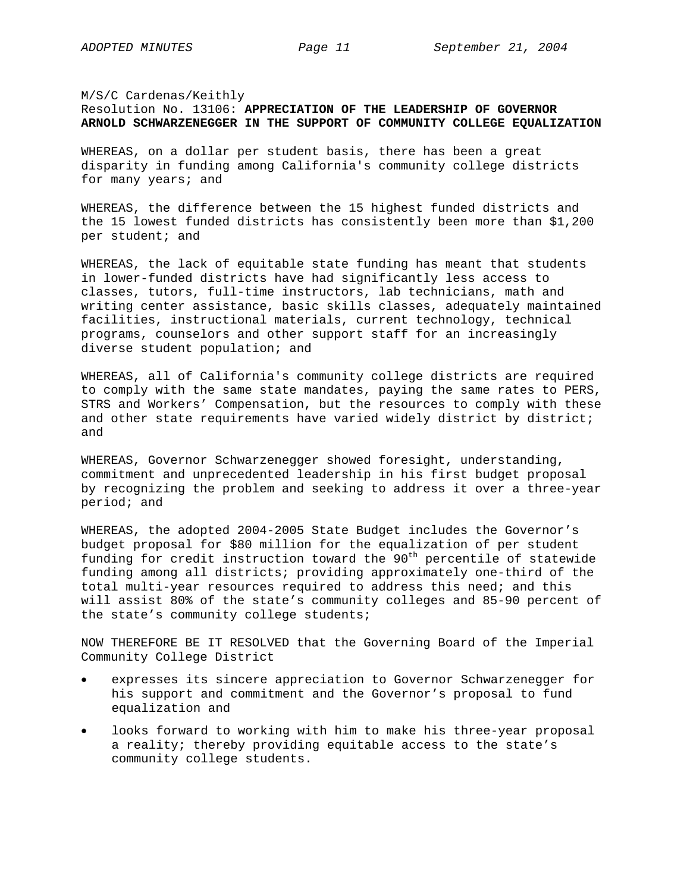# M/S/C Cardenas/Keithly Resolution No. 13106: **APPRECIATION OF THE LEADERSHIP OF GOVERNOR ARNOLD SCHWARZENEGGER IN THE SUPPORT OF COMMUNITY COLLEGE EQUALIZATION**

WHEREAS, on a dollar per student basis, there has been a great disparity in funding among California's community college districts for many years; and

WHEREAS, the difference between the 15 highest funded districts and the 15 lowest funded districts has consistently been more than \$1,200 per student; and

WHEREAS, the lack of equitable state funding has meant that students in lower-funded districts have had significantly less access to classes, tutors, full-time instructors, lab technicians, math and writing center assistance, basic skills classes, adequately maintained facilities, instructional materials, current technology, technical programs, counselors and other support staff for an increasingly diverse student population; and

WHEREAS, all of California's community college districts are required to comply with the same state mandates, paying the same rates to PERS, STRS and Workers' Compensation, but the resources to comply with these and other state requirements have varied widely district by district; and

WHEREAS, Governor Schwarzenegger showed foresight, understanding, commitment and unprecedented leadership in his first budget proposal by recognizing the problem and seeking to address it over a three-year period; and

WHEREAS, the adopted 2004-2005 State Budget includes the Governor's budget proposal for \$80 million for the equalization of per student funding for credit instruction toward the  $90<sup>th</sup>$  percentile of statewide funding among all districts; providing approximately one-third of the total multi-year resources required to address this need; and this will assist 80% of the state's community colleges and 85-90 percent of the state's community college students;

NOW THEREFORE BE IT RESOLVED that the Governing Board of the Imperial Community College District

- expresses its sincere appreciation to Governor Schwarzenegger for his support and commitment and the Governor's proposal to fund equalization and
- looks forward to working with him to make his three-year proposal a reality; thereby providing equitable access to the state's community college students.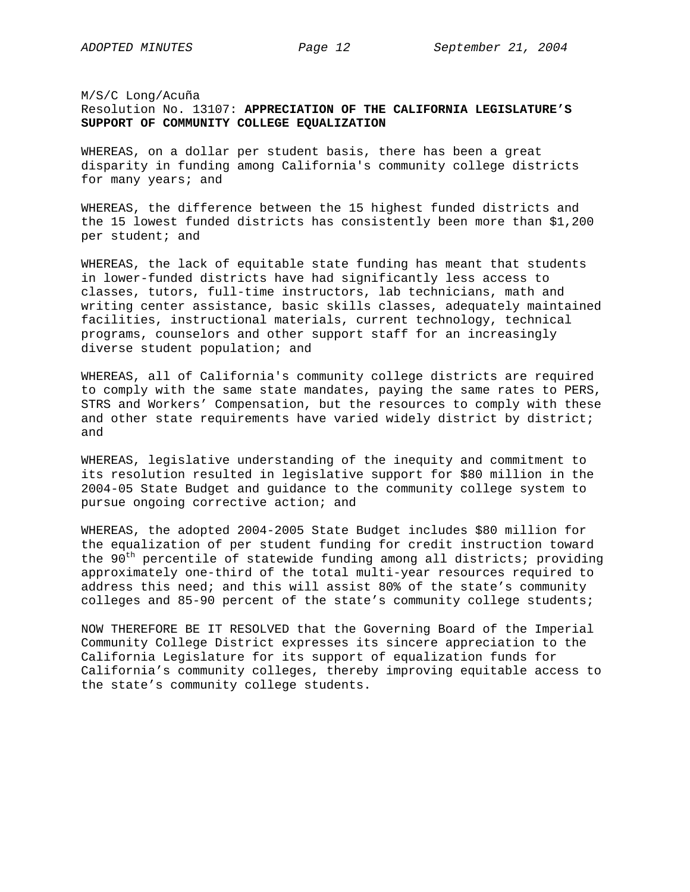M/S/C Long/Acuña Resolution No. 13107: **APPRECIATION OF THE CALIFORNIA LEGISLATURE'S SUPPORT OF COMMUNITY COLLEGE EQUALIZATION**

WHEREAS, on a dollar per student basis, there has been a great disparity in funding among California's community college districts for many years; and

WHEREAS, the difference between the 15 highest funded districts and the 15 lowest funded districts has consistently been more than \$1,200 per student; and

WHEREAS, the lack of equitable state funding has meant that students in lower-funded districts have had significantly less access to classes, tutors, full-time instructors, lab technicians, math and writing center assistance, basic skills classes, adequately maintained facilities, instructional materials, current technology, technical programs, counselors and other support staff for an increasingly diverse student population; and

WHEREAS, all of California's community college districts are required to comply with the same state mandates, paying the same rates to PERS, STRS and Workers' Compensation, but the resources to comply with these and other state requirements have varied widely district by district; and

WHEREAS, legislative understanding of the inequity and commitment to its resolution resulted in legislative support for \$80 million in the 2004-05 State Budget and guidance to the community college system to pursue ongoing corrective action; and

WHEREAS, the adopted 2004-2005 State Budget includes \$80 million for the equalization of per student funding for credit instruction toward the 90<sup>th</sup> percentile of statewide funding among all districts; providing approximately one-third of the total multi-year resources required to address this need; and this will assist 80% of the state's community colleges and 85-90 percent of the state's community college students;

NOW THEREFORE BE IT RESOLVED that the Governing Board of the Imperial Community College District expresses its sincere appreciation to the California Legislature for its support of equalization funds for California's community colleges, thereby improving equitable access to the state's community college students.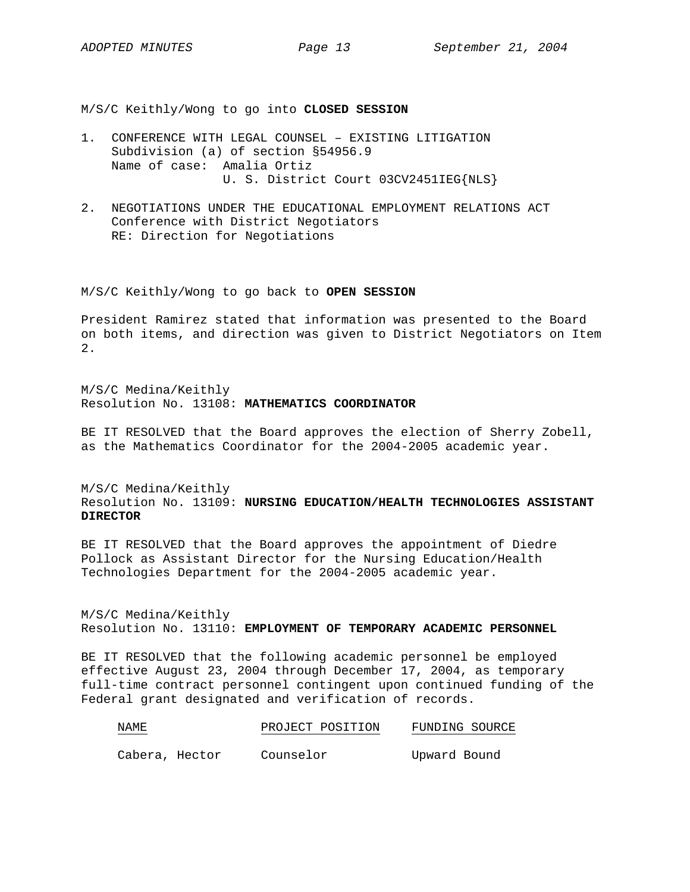M/S/C Keithly/Wong to go into **CLOSED SESSION**

- 1. CONFERENCE WITH LEGAL COUNSEL EXISTING LITIGATION Subdivision (a) of section §54956.9 Name of case: Amalia Ortiz U. S. District Court 03CV2451IEG{NLS}
- 2. NEGOTIATIONS UNDER THE EDUCATIONAL EMPLOYMENT RELATIONS ACT Conference with District Negotiators RE: Direction for Negotiations

M/S/C Keithly/Wong to go back to **OPEN SESSION**

President Ramirez stated that information was presented to the Board on both items, and direction was given to District Negotiators on Item 2.

M/S/C Medina/Keithly Resolution No. 13108: **MATHEMATICS COORDINATOR**

BE IT RESOLVED that the Board approves the election of Sherry Zobell, as the Mathematics Coordinator for the 2004-2005 academic year.

M/S/C Medina/Keithly Resolution No. 13109: **NURSING EDUCATION/HEALTH TECHNOLOGIES ASSISTANT DIRECTOR**

BE IT RESOLVED that the Board approves the appointment of Diedre Pollock as Assistant Director for the Nursing Education/Health Technologies Department for the 2004-2005 academic year.

M/S/C Medina/Keithly Resolution No. 13110: **EMPLOYMENT OF TEMPORARY ACADEMIC PERSONNEL**

BE IT RESOLVED that the following academic personnel be employed effective August 23, 2004 through December 17, 2004, as temporary full-time contract personnel contingent upon continued funding of the Federal grant designated and verification of records.

| NAME | PROJECT POSITION | FUNDING SOURCE |  |
|------|------------------|----------------|--|
|      |                  |                |  |

Cabera, Hector Counselor Upward Bound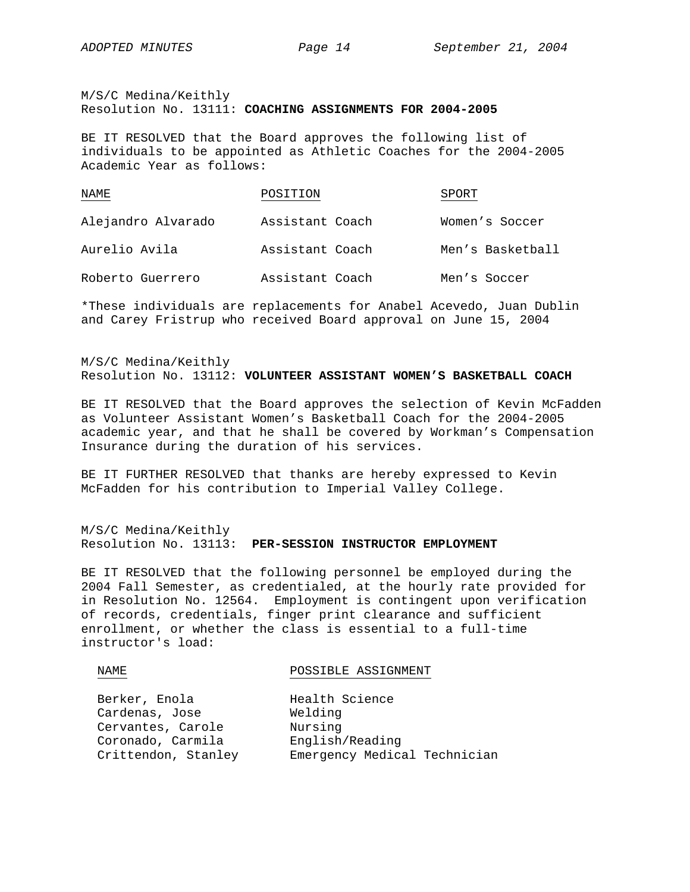M/S/C Medina/Keithly Resolution No. 13111: **COACHING ASSIGNMENTS FOR 2004-2005**

BE IT RESOLVED that the Board approves the following list of individuals to be appointed as Athletic Coaches for the 2004-2005 Academic Year as follows:

| NAME               | POSITION        | SPORT            |
|--------------------|-----------------|------------------|
| Alejandro Alvarado | Assistant Coach | Women's Soccer   |
| Aurelio Avila      | Assistant Coach | Men's Basketball |
| Roberto Guerrero   | Assistant Coach | Men's Soccer     |

\*These individuals are replacements for Anabel Acevedo, Juan Dublin and Carey Fristrup who received Board approval on June 15, 2004

# M/S/C Medina/Keithly Resolution No. 13112: **VOLUNTEER ASSISTANT WOMEN'S BASKETBALL COACH**

BE IT RESOLVED that the Board approves the selection of Kevin McFadden as Volunteer Assistant Women's Basketball Coach for the 2004-2005 academic year, and that he shall be covered by Workman's Compensation Insurance during the duration of his services.

BE IT FURTHER RESOLVED that thanks are hereby expressed to Kevin McFadden for his contribution to Imperial Valley College.

## M/S/C Medina/Keithly Resolution No. 13113: **PER-SESSION INSTRUCTOR EMPLOYMENT**

BE IT RESOLVED that the following personnel be employed during the 2004 Fall Semester, as credentialed, at the hourly rate provided for in Resolution No. 12564. Employment is contingent upon verification of records, credentials, finger print clearance and sufficient enrollment, or whether the class is essential to a full-time instructor's load:

# NAME POSSIBLE ASSIGNMENT Berker, Enola Health Science Cardenas, Jose Welding Cervantes, Carole Mursing<br>Coronado, Carmila English Coronado, Carmila English/Reading Crittendon, Stanley Emergency Medical Technician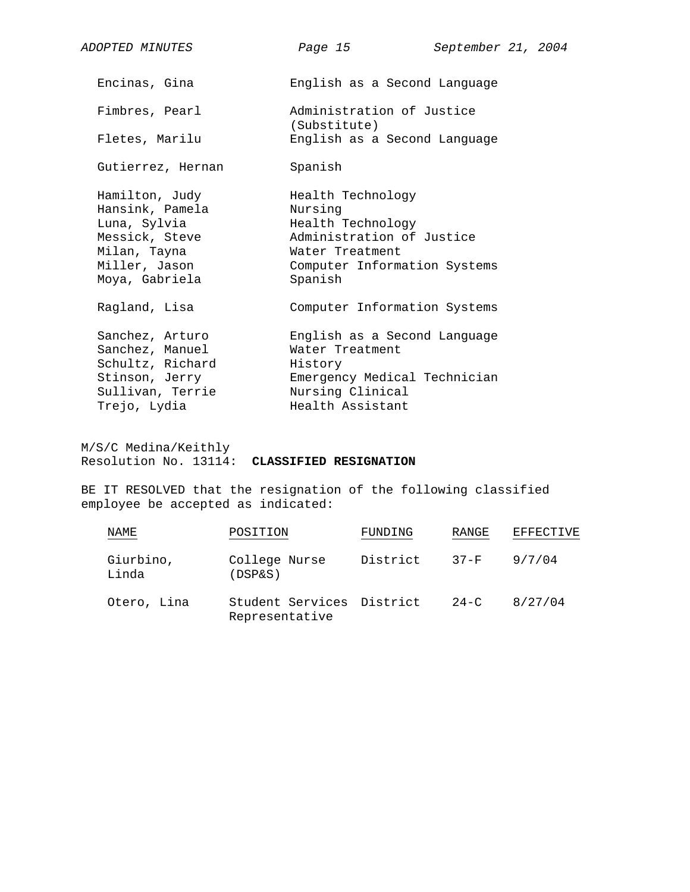| <i>ADOPTED MINUTES</i>                                                                                                 | September 21, 2004<br>Page 15                                                                                                                |
|------------------------------------------------------------------------------------------------------------------------|----------------------------------------------------------------------------------------------------------------------------------------------|
| Encinas, Gina                                                                                                          | English as a Second Language                                                                                                                 |
| Fimbres, Pearl                                                                                                         | Administration of Justice<br>(Substitute)                                                                                                    |
| Fletes, Marilu                                                                                                         | English as a Second Language                                                                                                                 |
| Gutierrez, Hernan                                                                                                      | Spanish                                                                                                                                      |
| Hamilton, Judy<br>Hansink, Pamela<br>Luna, Sylvia<br>Messick, Steve<br>Milan, Tayna<br>Miller, Jason<br>Moya, Gabriela | Health Technology<br>Nursing<br>Health Technology<br>Administration of Justice<br>Water Treatment<br>Computer Information Systems<br>Spanish |
| Ragland, Lisa                                                                                                          | Computer Information Systems                                                                                                                 |
| Sanchez, Arturo<br>Sanchez, Manuel<br>Schultz, Richard<br>Stinson, Jerry<br>Sullivan, Terrie                           | English as a Second Language<br>Water Treatment<br>History<br>Emergency Medical Technician<br>Nursing Clinical                               |
| Trejo, Lydia                                                                                                           | Health Assistant                                                                                                                             |

M/S/C Medina/Keithly Resolution No. 13114: **CLASSIFIED RESIGNATION**

BE IT RESOLVED that the resignation of the following classified employee be accepted as indicated:

| NAME               | POSITION                                    | FUNDING  | RANGE    | EFFECTIVE |
|--------------------|---------------------------------------------|----------|----------|-----------|
| Giurbino,<br>Linda | College Nurse<br>$(DSP\&S)$                 | District | $37-F$   | 9/7/04    |
| Otero, Lina        | Student Services District<br>Representative |          | $24 - C$ | 8/27/04   |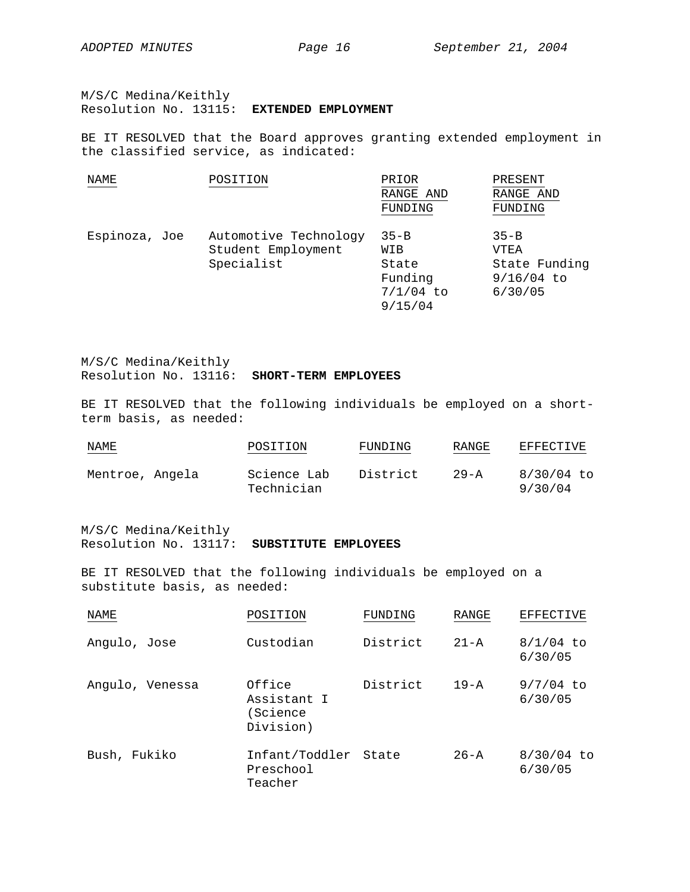M/S/C Medina/Keithly Resolution No. 13115: **EXTENDED EMPLOYMENT**

BE IT RESOLVED that the Board approves granting extended employment in the classified service, as indicated:

| NAME          | POSITION              | PRIOR       | PRESENT       |
|---------------|-----------------------|-------------|---------------|
|               |                       | RANGE AND   | RANGE AND     |
|               |                       | FUNDING     | FUNDING       |
|               |                       |             |               |
| Espinoza, Joe | Automotive Technology | $35 - B$    | $35 - B$      |
|               | Student Employment    | WIB         | VTEA          |
|               | Specialist            | State       | State Funding |
|               |                       | Funding     | $9/16/04$ to  |
|               |                       | $7/1/04$ to | 6/30/05       |
|               |                       | 9/15/04     |               |

M/S/C Medina/Keithly Resolution No. 13116: **SHORT-TERM EMPLOYEES**

BE IT RESOLVED that the following individuals be employed on a shortterm basis, as needed:

| NAME            | POSITION                  | FUNDING  | RANGE    | <b>EFFECTIVE</b>      |
|-----------------|---------------------------|----------|----------|-----------------------|
| Mentroe, Angela | Science Lab<br>Technician | District | $29 - A$ | 8/30/04 to<br>9/30/04 |

M/S/C Medina/Keithly

## Resolution No. 13117: **SUBSTITUTE EMPLOYEES**

BE IT RESOLVED that the following individuals be employed on a substitute basis, as needed:

| NAME            | POSITION                                       | FUNDING  | RANGE    | <b>EFFECTIVE</b>        |
|-----------------|------------------------------------------------|----------|----------|-------------------------|
| Angulo, Jose    | Custodian                                      | District | $21 - A$ | $8/1/04$ to<br>6/30/05  |
| Angulo, Venessa | Office<br>Assistant I<br>(Science<br>Division) | District | $19 - A$ | $9/7/04$ to<br>6/30/05  |
| Bush, Fukiko    | Infant/Toddler<br>Preschool<br>Teacher         | State    | $26 - A$ | $8/30/04$ to<br>6/30/05 |